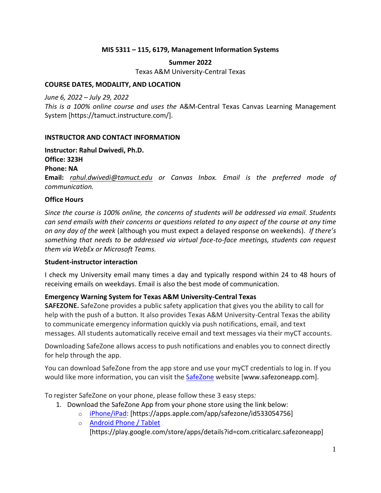## **MIS 5311 – 115, 6179, Management Information Systems**

#### **Summer 2022** Texas A&M University-Central Texas

# **COURSE DATES, MODALITY, AND LOCATION**

*June 6, 2022 – July 29, 2022*

*This is a 100% online course and uses the* A&M-Central Texas Canvas Learning Management System [https://tamuct.instructure.com/].

### **INSTRUCTOR AND CONTACT INFORMATION**

#### **Instructor: Rahul Dwivedi, Ph.D.**

### **Office: 323H**

#### **Phone: NA**

**Email:** *[rahul.dwivedi@tamuct.edu](mailto:rahul.dwivedi@tamuct.edu) or Canvas Inbox. Email is the preferred mode of communication.*

### **Office Hours**

*Since the course is 100% online, the concerns of students will be addressed via email. Students can send emails with their concerns or questions related to any aspect of the course at any time on any day of the week* (although you must expect a delayed response on weekends)*. If there's something that needs to be addressed via virtual face-to-face meetings, students can request them via WebEx or Microsoft Teams.*

### **Student-instructor interaction**

I check my University email many times a day and typically respond within 24 to 48 hours of receiving emails on weekdays. Email is also the best mode of communication.

### **Emergency Warning System for Texas A&M University-Central Texas**

**SAFEZONE.** SafeZone provides a public safety application that gives you the ability to call for help with the push of a button. It also provides Texas A&M University-Central Texas the ability to communicate emergency information quickly via push notifications, email, and text messages. All students automatically receive email and text messages via their myCT accounts.

Downloading SafeZone allows access to push notifications and enables you to connect directly for help through the app.

You can download SafeZone from the app store and use your myCT credentials to log in. If you would like more information, you can visit the [SafeZone](http://www.safezoneapp.com/) website [www.safezoneapp.com].

To register SafeZone on your phone, please follow these 3 easy steps*:*

- 1. Download the SafeZone App from your phone store using the link below:
	- o [iPhone/iPad:](https://apps.apple.com/app/safezone/id533054756) [https://apps.apple.com/app/safezone/id533054756]
	- o [Android Phone / Tablet](https://play.google.com/store/apps/details?id=com.criticalarc.safezoneapp) [https://play.google.com/store/apps/details?id=com.criticalarc.safezoneapp]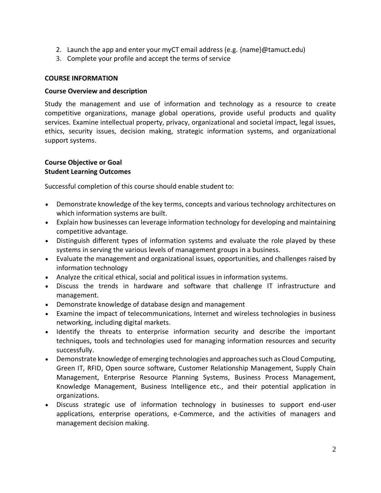- 2. Launch the app and enter your myCT email address (e.g.  ${name}$ ) $\emptyset$ tamuct.edu)
- 3. Complete your profile and accept the terms of service

### **COURSE INFORMATION**

#### **Course Overview and description**

Study the management and use of information and technology as a resource to create competitive organizations, manage global operations, provide useful products and quality services. Examine intellectual property, privacy, organizational and societal impact, legal issues, ethics, security issues, decision making, strategic information systems, and organizational support systems.

### **Course Objective or Goal Student Learning Outcomes**

Successful completion of this course should enable student to:

- Demonstrate knowledge of the key terms, concepts and various technology architectures on which information systems are built.
- Explain how businesses can leverage information technology for developing and maintaining competitive advantage.
- Distinguish different types of information systems and evaluate the role played by these systems in serving the various levels of management groups in a business.
- Evaluate the management and organizational issues, opportunities, and challenges raised by information technology
- Analyze the critical ethical, social and political issues in information systems.
- Discuss the trends in hardware and software that challenge IT infrastructure and management.
- Demonstrate knowledge of database design and management
- Examine the impact of telecommunications, Internet and wireless technologies in business networking, including digital markets.
- Identify the threats to enterprise information security and describe the important techniques, tools and technologies used for managing information resources and security successfully.
- Demonstrate knowledge of emerging technologies and approaches such as Cloud Computing, Green IT, RFID, Open source software, Customer Relationship Management, Supply Chain Management, Enterprise Resource Planning Systems, Business Process Management, Knowledge Management, Business Intelligence etc., and their potential application in organizations.
- Discuss strategic use of information technology in businesses to support end-user applications, enterprise operations, e-Commerce, and the activities of managers and management decision making.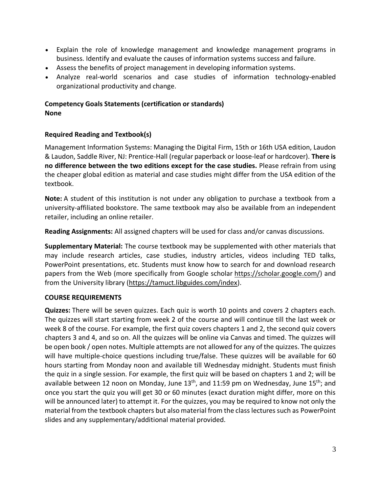- Explain the role of knowledge management and knowledge management programs in business. Identify and evaluate the causes of information systems success and failure.
- Assess the benefits of project management in developing information systems.
- Analyze real-world scenarios and case studies of information technology-enabled organizational productivity and change.

## **Competency Goals Statements (certification or standards) None**

### **Required Reading and Textbook(s)**

Management Information Systems: Managing the Digital Firm, 15th or 16th USA edition, Laudon & Laudon, Saddle River, NJ: Prentice-Hall (regular paperback or loose-leaf or hardcover). **There is no difference between the two editions except for the case studies.** Please refrain from using the cheaper global edition as material and case studies might differ from the USA edition of the textbook.

**Note:** A student of this institution is not under any obligation to purchase a textbook from a university-affiliated bookstore. The same textbook may also be available from an independent retailer, including an online retailer.

**Reading Assignments:** All assigned chapters will be used for class and/or canvas discussions.

**Supplementary Material:** The course textbook may be supplemented with other materials that may include research articles, case studies, industry articles, videos including TED talks, PowerPoint presentations, etc. Students must know how to search for and download research papers from the Web (more specifically from Google scholar [https://scholar.google.com/\)](https://scholar.google.com/) and from the University library [\(https://tamuct.libguides.com/index\)](https://tamuct.libguides.com/index).

### **COURSE REQUIREMENTS**

**Quizzes:** There will be seven quizzes. Each quiz is worth 10 points and covers 2 chapters each. The quizzes will start starting from week 2 of the course and will continue till the last week or week 8 of the course. For example, the first quiz covers chapters 1 and 2, the second quiz covers chapters 3 and 4, and so on. All the quizzes will be online via Canvas and timed. The quizzes will be open book / open notes. Multiple attempts are not allowed for any of the quizzes. The quizzes will have multiple-choice questions including true/false. These quizzes will be available for 60 hours starting from Monday noon and available till Wednesday midnight. Students must finish the quiz in a single session. For example, the first quiz will be based on chapters 1 and 2; will be available between 12 noon on Monday, June 13<sup>th</sup>, and 11:59 pm on Wednesday, June 15<sup>th</sup>; and once you start the quiz you will get 30 or 60 minutes (exact duration might differ, more on this will be announced later) to attempt it. For the quizzes, you may be required to know not only the material from the textbook chapters but also material from the class lectures such as PowerPoint slides and any supplementary/additional material provided.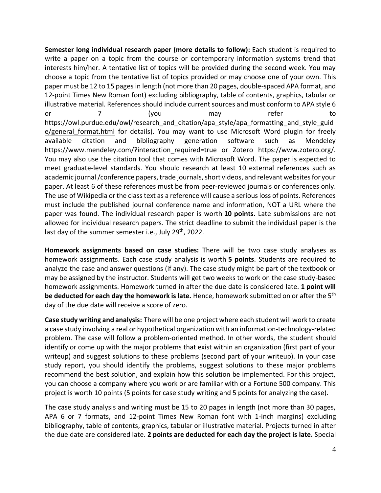**Semester long individual research paper (more details to follow):** Each student is required to write a paper on a topic from the course or contemporary information systems trend that interests him/her. A tentative list of topics will be provided during the second week. You may choose a topic from the tentative list of topics provided or may choose one of your own. This paper must be 12 to 15 pages in length (not more than 20 pages, double-spaced APA format, and 12-point Times New Roman font) excluding bibliography, table of contents, graphics, tabular or illustrative material. References should include current sources and must conform to APA style 6 or 7 (you may refer to [https://owl.purdue.edu/owl/research\\_and\\_citation/apa\\_style/apa\\_formatting\\_and\\_style\\_guid](https://owl.purdue.edu/owl/research_and_citation/apa_style/apa_formatting_and_style_guide/general_format.html) e/general format.html for details). You may want to use Microsoft Word plugin for freely available citation and bibliography generation software such as Mendeley https://www.mendeley.com/?interaction\_required=true or Zotero https://www.zotero.org/. You may also use the citation tool that comes with Microsoft Word. The paper is expected to meet graduate-level standards. You should research at least 10 external references such as academic journal /conference papers, trade journals, short videos, and relevant websites for your paper. At least 6 of these references must be from peer-reviewed journals or conferences only. The use of Wikipedia or the class text as a reference will cause a serious loss of points. References must include the published journal conference name and information, NOT a URL where the paper was found. The individual research paper is worth **10 points**. Late submissions are not allowed for individual research papers. The strict deadline to submit the individual paper is the last day of the summer semester i.e., July 29<sup>th</sup>, 2022.

**Homework assignments based on case studies:** There will be two case study analyses as homework assignments. Each case study analysis is worth **5 points**. Students are required to analyze the case and answer questions (if any). The case study might be part of the textbook or may be assigned by the instructor. Students will get two weeks to work on the case study-based homework assignments. Homework turned in after the due date is considered late. **1 point will be deducted for each day the homework is late.** Hence, homework submitted on or after the 5<sup>th</sup> day of the due date will receive a score of zero.

**Case study writing and analysis:** There will be one project where each student will work to create a case study involving a real or hypothetical organization with an information-technology-related problem. The case will follow a problem-oriented method. In other words, the student should identify or come up with the major problems that exist within an organization (first part of your writeup) and suggest solutions to these problems (second part of your writeup). In your case study report, you should identify the problems, suggest solutions to these major problems recommend the best solution, and explain how this solution be implemented. For this project, you can choose a company where you work or are familiar with or a Fortune 500 company. This project is worth 10 points (5 points for case study writing and 5 points for analyzing the case).

The case study analysis and writing must be 15 to 20 pages in length (not more than 30 pages, APA 6 or 7 formats, and 12-point Times New Roman font with 1-inch margins) excluding bibliography, table of contents, graphics, tabular or illustrative material. Projects turned in after the due date are considered late. **2 points are deducted for each day the project is late.** Special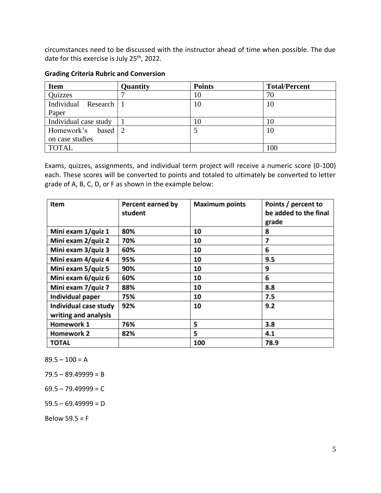circumstances need to be discussed with the instructor ahead of time when possible. The due date for this exercise is July 25<sup>th</sup>, 2022.

| <b>Item</b>           | Quantity | <b>Points</b> | <b>Total/Percent</b> |
|-----------------------|----------|---------------|----------------------|
| Quizzes               |          | 10            | 70                   |
| Individual Research   |          | 10            | 10                   |
| Paper                 |          |               |                      |
| Individual case study |          | 10            | 10                   |
| Homework's based      |          |               | 10                   |
| on case studies       |          |               |                      |
| <b>TOTAL</b>          |          |               | 100                  |

## **Grading Criteria Rubric and Conversion**

Exams, quizzes, assignments, and individual term project will receive a numeric score (0-100) each. These scores will be converted to points and totaled to ultimately be converted to letter grade of A, B, C, D, or F as shown in the example below:

| <b>Item</b>                                   | <b>Percent earned by</b><br>student | <b>Maximum points</b> | Points / percent to<br>be added to the final<br>grade |
|-----------------------------------------------|-------------------------------------|-----------------------|-------------------------------------------------------|
| Mini exam 1/quiz 1                            | 80%                                 | 10                    | 8                                                     |
| Mini exam 2/quiz 2                            | 70%                                 | 10                    | 7                                                     |
| Mini exam 3/quiz 3                            | 60%                                 | 10                    | 6                                                     |
| Mini exam 4/quiz 4                            | 95%                                 | 10                    | 9.5                                                   |
| Mini exam 5/quiz 5                            | 90%                                 | 10                    | 9                                                     |
| Mini exam 6/quiz 6                            | 60%                                 | 10                    | 6                                                     |
| Mini exam 7/quiz 7                            | 88%                                 | 10                    | 8.8                                                   |
| <b>Individual paper</b>                       | 75%                                 | 10                    | 7.5                                                   |
| Individual case study<br>writing and analysis | 92%                                 | 10                    | 9.2                                                   |
| <b>Homework 1</b>                             | 76%                                 | 5                     | 3.8                                                   |
| <b>Homework 2</b>                             | 82%                                 | 5                     | 4.1                                                   |
| <b>TOTAL</b>                                  |                                     | 100                   | 78.9                                                  |

 $89.5 - 100 = A$ 

 $79.5 - 89.49999 = B$ 

 $69.5 - 79.49999 = C$ 

 $59.5 - 69.49999 = D$ 

Below  $59.5 = F$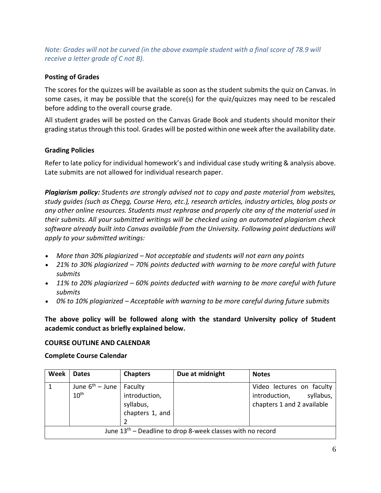## *Note: Grades will not be curved (in the above example student with a final score of 78.9 will receive a letter grade of C not B).*

## **Posting of Grades**

The scores for the quizzes will be available as soon as the student submits the quiz on Canvas. In some cases, it may be possible that the score(s) for the quiz/quizzes may need to be rescaled before adding to the overall course grade.

All student grades will be posted on the Canvas Grade Book and students should monitor their grading status through this tool. Grades will be posted within one week after the availability date.

## **Grading Policies**

Refer to late policy for individual homework's and individual case study writing & analysis above. Late submits are not allowed for individual research paper.

*Plagiarism policy: Students are strongly advised not to copy and paste material from websites, study guides (such as Chegg, Course Hero, etc.), research articles, industry articles, blog posts or any other online resources. Students must rephrase and properly cite any of the material used in their submits. All your submitted writings will be checked using an automated plagiarism check software already built into Canvas available from the University. Following point deductions will apply to your submitted writings:*

- *More than 30% plagiarized – Not acceptable and students will not earn any points*
- *21% to 30% plagiarized – 70% points deducted with warning to be more careful with future submits*
- *11% to 20% plagiarized – 60% points deducted with warning to be more careful with future submits*
- *0% to 10% plagiarized – Acceptable with warning to be more careful during future submits*

**The above policy will be followed along with the standard University policy of Student academic conduct as briefly explained below.**

### **COURSE OUTLINE AND CALENDAR**

### **Complete Course Calendar**

| <b>Week</b>                                                  | <b>Dates</b>                             | <b>Chapters</b>                                          | Due at midnight | <b>Notes</b>                                                                       |
|--------------------------------------------------------------|------------------------------------------|----------------------------------------------------------|-----------------|------------------------------------------------------------------------------------|
| $\mathbf{1}$                                                 | June $6^{th}$ – June<br>10 <sup>th</sup> | Faculty<br>introduction,<br>syllabus,<br>chapters 1, and |                 | Video lectures on faculty<br>introduction, syllabus,<br>chapters 1 and 2 available |
| June $13th$ – Deadline to drop 8-week classes with no record |                                          |                                                          |                 |                                                                                    |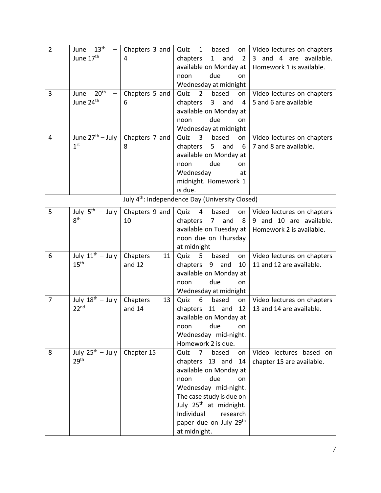| $\overline{2}$ | 13 <sup>th</sup><br>June     | Chapters 3 and | Quiz<br>based<br>$\mathbf{1}$                               | on   Video lectures on chapters |
|----------------|------------------------------|----------------|-------------------------------------------------------------|---------------------------------|
|                | June 17 <sup>th</sup>        | 4              | chapters<br>and<br>$\mathbf{1}$<br>$\overline{2}$           | 3 and 4 are available.          |
|                |                              |                | available on Monday at                                      | Homework 1 is available.        |
|                |                              |                | due<br>noon<br>on                                           |                                 |
|                |                              |                | Wednesday at midnight                                       |                                 |
| 3              | 20 <sup>th</sup><br>June     | Chapters 5 and | Quiz<br>based<br>$\overline{2}$<br>on                       | Video lectures on chapters      |
|                | June 24 <sup>th</sup>        | 6              | chapters<br>3 <sup>7</sup><br>and<br>$\overline{4}$         | 5 and 6 are available           |
|                |                              |                | available on Monday at                                      |                                 |
|                |                              |                | due<br>noon<br>on                                           |                                 |
|                |                              |                | Wednesday at midnight                                       |                                 |
| 4              | June $27th - July$           | Chapters 7 and | Quiz<br>$\mathbf{3}$<br>based<br>on                         | Video lectures on chapters      |
|                | 1 <sup>st</sup>              | 8              | chapters<br>5 <sub>1</sub><br>and<br>6                      | 7 and 8 are available.          |
|                |                              |                | available on Monday at                                      |                                 |
|                |                              |                | due<br>noon<br>on                                           |                                 |
|                |                              |                | Wednesday<br>at                                             |                                 |
|                |                              |                | midnight. Homework 1                                        |                                 |
|                |                              |                | is due.                                                     |                                 |
|                |                              |                | July 4 <sup>th</sup> : Independence Day (University Closed) |                                 |
| 5              | July $5^{th}$ – July         | Chapters 9 and | Quiz<br>4<br>based<br>on                                    | Video lectures on chapters      |
|                | 8 <sup>th</sup>              | 10             | and<br>chapters<br>8<br>$\overline{7}$                      | 9 and 10 are available.         |
|                |                              |                | available on Tuesday at                                     | Homework 2 is available.        |
|                |                              |                | noon due on Thursday                                        |                                 |
|                |                              |                | at midnight                                                 |                                 |
| 6              | July $11^{\text{th}}$ – July | Chapters<br>11 | Quiz<br>5<br>based<br>on                                    | Video lectures on chapters      |
|                | 15 <sup>th</sup>             | and $12$       | 10<br>chapters<br>9 and                                     | 11 and 12 are available.        |
|                |                              |                | available on Monday at                                      |                                 |
|                |                              |                | due<br>noon<br>on                                           |                                 |
|                |                              |                | Wednesday at midnight                                       |                                 |
| $\overline{7}$ | July $18^{\text{th}}$ – July | Chapters<br>13 | Quiz<br>6<br>based<br>on                                    | Video lectures on chapters      |
|                | 22 <sup>nd</sup>             | and 14         | 12<br>chapters 11 and                                       | 13 and 14 are available.        |
|                |                              |                | available on Monday at                                      |                                 |
|                |                              |                | due<br>noon<br>on                                           |                                 |
|                |                              |                | Wednesday mid-night.                                        |                                 |
|                |                              |                | Homework 2 is due.                                          |                                 |
| 8              | July $25^{th}$ – July        | Chapter 15     | Quiz<br>7 <sup>7</sup><br>based<br>on                       | Video lectures based on         |
|                | 29 <sup>th</sup>             |                | chapters 13 and<br>14                                       | chapter 15 are available.       |
|                |                              |                | available on Monday at                                      |                                 |
|                |                              |                | due<br>noon<br>on                                           |                                 |
|                |                              |                | Wednesday mid-night.                                        |                                 |
|                |                              |                | The case study is due on                                    |                                 |
|                |                              |                | July 25 <sup>th</sup> at midnight.                          |                                 |
|                |                              |                | Individual<br>research                                      |                                 |
|                |                              |                | paper due on July 29 <sup>th</sup>                          |                                 |
|                |                              |                | at midnight.                                                |                                 |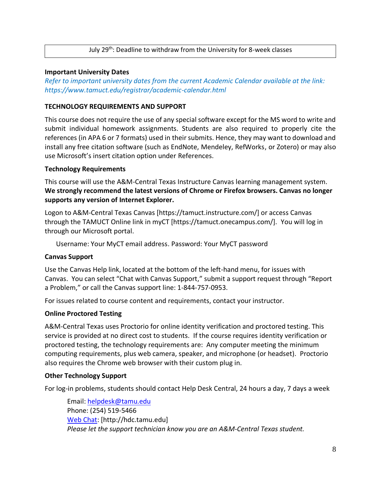### July 29<sup>th</sup>: Deadline to withdraw from the University for 8-week classes

#### **Important University Dates**

*Refer to important university dates from the current Academic Calendar available at the link: https://www.tamuct.edu/registrar/academic-calendar.html*

### **TECHNOLOGY REQUIREMENTS AND SUPPORT**

This course does not require the use of any special software except for the MS word to write and submit individual homework assignments. Students are also required to properly cite the references (in APA 6 or 7 formats) used in their submits. Hence, they may want to download and install any free citation software (such as EndNote, Mendeley, RefWorks, or Zotero) or may also use Microsoft's insert citation option under References.

#### **Technology Requirements**

This course will use the A&M-Central Texas Instructure Canvas learning management system. **We strongly recommend the latest versions of Chrome or Firefox browsers. Canvas no longer supports any version of Internet Explorer.**

Logon to A&M-Central Texas Canvas [https://tamuct.instructure.com/] or access Canvas through the TAMUCT Online link in myCT [https://tamuct.onecampus.com/]. You will log in through our Microsoft portal.

Username: Your MyCT email address. Password: Your MyCT password

#### **Canvas Support**

Use the Canvas Help link, located at the bottom of the left-hand menu, for issues with Canvas. You can select "Chat with Canvas Support," submit a support request through "Report a Problem," or call the Canvas support line: 1-844-757-0953.

For issues related to course content and requirements, contact your instructor.

### **Online Proctored Testing**

A&M-Central Texas uses Proctorio for online identity verification and proctored testing. This service is provided at no direct cost to students. If the course requires identity verification or proctored testing, the technology requirements are: Any computer meeting the minimum computing requirements, plus web camera, speaker, and microphone (or headset). Proctorio also requires the Chrome web browser with their custom plug in.

#### **Other Technology Support**

For log-in problems, students should contact Help Desk Central, 24 hours a day, 7 days a week

Email[: helpdesk@tamu.edu](mailto:helpdesk@tamu.edu) Phone: (254) 519-5466 [Web Chat:](http://hdc.tamu.edu/) [http://hdc.tamu.edu] *Please let the support technician know you are an A&M-Central Texas student.*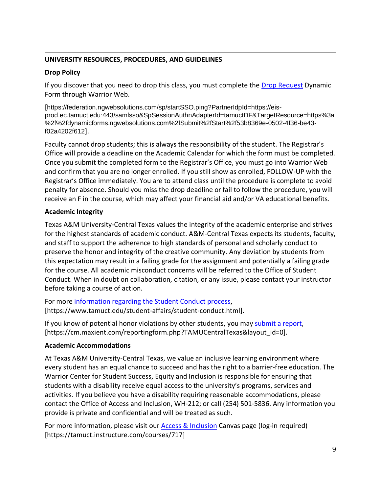## **UNIVERSITY RESOURCES, PROCEDURES, AND GUIDELINES**

## **Drop Policy**

If you discover that you need to drop this class, you must complete the [Drop Request](https://federation.ngwebsolutions.com/sp/startSSO.ping?PartnerIdpId=https://eis-prod.ec.tamuct.edu:443/samlsso&SpSessionAuthnAdapterId=tamuctDF&TargetResource=https%3a%2f%2fdynamicforms.ngwebsolutions.com%2fSubmit%2fStart%2f53b8369e-0502-4f36-be43-f02a4202f612) Dynamic Form through Warrior Web.

[https://federation.ngwebsolutions.com/sp/startSSO.ping?PartnerIdpId=https://eisprod.ec.tamuct.edu:443/samlsso&SpSessionAuthnAdapterId=tamuctDF&TargetResource=https%3a %2f%2fdynamicforms.ngwebsolutions.com%2fSubmit%2fStart%2f53b8369e-0502-4f36-be43 f02a4202f612].

Faculty cannot drop students; this is always the responsibility of the student. The Registrar's Office will provide a deadline on the Academic Calendar for which the form must be completed. Once you submit the completed form to the Registrar's Office, you must go into Warrior Web and confirm that you are no longer enrolled. If you still show as enrolled, FOLLOW-UP with the Registrar's Office immediately. You are to attend class until the procedure is complete to avoid penalty for absence. Should you miss the drop deadline or fail to follow the procedure, you will receive an F in the course, which may affect your financial aid and/or VA educational benefits.

## **Academic Integrity**

Texas A&M University-Central Texas values the integrity of the academic enterprise and strives for the highest standards of academic conduct. A&M-Central Texas expects its students, faculty, and staff to support the adherence to high standards of personal and scholarly conduct to preserve the honor and integrity of the creative community. Any deviation by students from this expectation may result in a failing grade for the assignment and potentially a failing grade for the course. All academic misconduct concerns will be referred to the Office of Student Conduct. When in doubt on collaboration, citation, or any issue, please contact your instructor before taking a course of action.

For more [information](https://nam04.safelinks.protection.outlook.com/?url=https%3A%2F%2Fwww.tamuct.edu%2Fstudent-affairs%2Fstudent-conduct.html&data=04%7C01%7Clisa.bunkowski%40tamuct.edu%7Ccfb6e486f24745f53e1a08d910055cb2%7C9eed4e3000f744849ff193ad8005acec%7C0%7C0%7C637558437485252160%7CUnknown%7CTWFpbGZsb3d8eyJWIjoiMC4wLjAwMDAiLCJQIjoiV2luMzIiLCJBTiI6Ik1haWwiLCJXVCI6Mn0%3D%7C1000&sdata=yjftDEVHvLX%2FhM%2FcFU0B99krV1RgEWR%2BJ%2BhvtoR6TYk%3D&reserved=0) regarding the Student Conduct process, [https://www.tamuct.edu/student-affairs/student-conduct.html].

If you know of potential honor violations by other students, you may [submit](https://nam04.safelinks.protection.outlook.com/?url=https%3A%2F%2Fcm.maxient.com%2Freportingform.php%3FTAMUCentralTexas%26layout_id%3D0&data=04%7C01%7Clisa.bunkowski%40tamuct.edu%7Ccfb6e486f24745f53e1a08d910055cb2%7C9eed4e3000f744849ff193ad8005acec%7C0%7C0%7C637558437485262157%7CUnknown%7CTWFpbGZsb3d8eyJWIjoiMC4wLjAwMDAiLCJQIjoiV2luMzIiLCJBTiI6Ik1haWwiLCJXVCI6Mn0%3D%7C1000&sdata=CXGkOa6uPDPX1IMZ87z3aZDq2n91xfHKu4MMS43Ejjk%3D&reserved=0) a report, [https://cm.maxient.com/reportingform.php?TAMUCentralTexas&layout\_id=0].

## **Academic Accommodations**

At Texas A&M University-Central Texas, we value an inclusive learning environment where every student has an equal chance to succeed and has the right to a barrier-free education. The Warrior Center for Student Success, Equity and Inclusion is responsible for ensuring that students with a disability receive equal access to the university's programs, services and activities. If you believe you have a disability requiring reasonable accommodations, please contact the Office of Access and Inclusion, WH-212; or call (254) 501-5836. Any information you provide is private and confidential and will be treated as such.

For more information, please visit our [Access & Inclusion](https://tamuct.instructure.com/courses/717) Canvas page (log-in required) [https://tamuct.instructure.com/courses/717]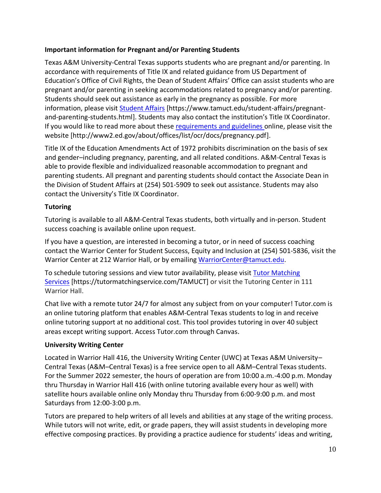## **Important information for Pregnant and/or Parenting Students**

Texas A&M University-Central Texas supports students who are pregnant and/or parenting. In accordance with requirements of Title IX and related guidance from US Department of Education's Office of Civil Rights, the Dean of Student Affairs' Office can assist students who are pregnant and/or parenting in seeking accommodations related to pregnancy and/or parenting. Students should seek out assistance as early in the pregnancy as possible. For more information, please visit [Student Affairs](https://www.tamuct.edu/student-affairs/pregnant-and-parenting-students.html) [https://www.tamuct.edu/student-affairs/pregnantand-parenting-students.html]. Students may also contact the institution's Title IX Coordinator. If you would like to read more about these [requirements and guidelines](http://www2.ed.gov/about/offices/list/ocr/docs/pregnancy.pdf) online, please visit the website [http://www2.ed.gov/about/offices/list/ocr/docs/pregnancy.pdf].

Title IX of the Education Amendments Act of 1972 prohibits discrimination on the basis of sex and gender–including pregnancy, parenting, and all related conditions. A&M-Central Texas is able to provide flexible and individualized reasonable accommodation to pregnant and parenting students. All pregnant and parenting students should contact the Associate Dean in the Division of Student Affairs at (254) 501-5909 to seek out assistance. Students may also contact the University's Title IX Coordinator.

## **Tutoring**

Tutoring is available to all A&M-Central Texas students, both virtually and in-person. Student success coaching is available online upon request.

If you have a question, are interested in becoming a tutor, or in need of success coaching contact the Warrior Center for Student Success, Equity and Inclusion at (254) 501-5836, visit the Warrior Center at 212 Warrior Hall, or by emailing [WarriorCenter@tamuct.edu.](mailto:WarriorCenter@tamuct.edu)

To schedule tutoring sessions and view tutor availability, please visit Tutor [Matching](https://tutormatchingservice.com/TAMUCT) [Services](https://tutormatchingservice.com/TAMUCT) [https://tutormatchingservice.com/TAMUCT] or visit the Tutoring Center in 111 Warrior Hall.

Chat live with a remote tutor 24/7 for almost any subject from on your computer! Tutor.com is an online tutoring platform that enables A&M-Central Texas students to log in and receive online tutoring support at no additional cost. This tool provides tutoring in over 40 subject areas except writing support. Access Tutor.com through Canvas.

## **University Writing Center**

Located in Warrior Hall 416, the University Writing Center (UWC) at Texas A&M University– Central Texas (A&M–Central Texas) is a free service open to all A&M–Central Texas students. For the Summer 2022 semester, the hours of operation are from 10:00 a.m.-4:00 p.m. Monday thru Thursday in Warrior Hall 416 (with online tutoring available every hour as well) with satellite hours available online only Monday thru Thursday from 6:00-9:00 p.m. and most Saturdays from 12:00-3:00 p.m.

Tutors are prepared to help writers of all levels and abilities at any stage of the writing process. While tutors will not write, edit, or grade papers, they will assist students in developing more effective composing practices. By providing a practice audience for students' ideas and writing,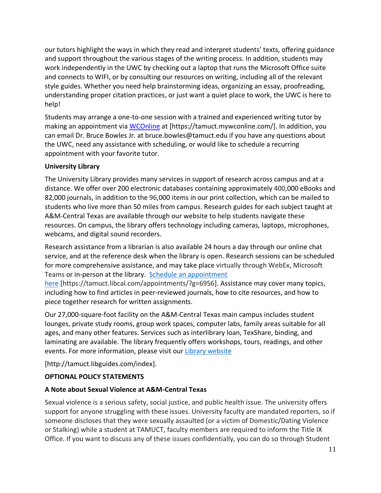our tutors highlight the ways in which they read and interpret students' texts, offering guidance and support throughout the various stages of the writing process. In addition, students may work independently in the UWC by checking out a laptop that runs the Microsoft Office suite and connects to WIFI, or by consulting our resources on writing, including all of the relevant style guides. Whether you need help brainstorming ideas, organizing an essay, proofreading, understanding proper citation practices, or just want a quiet place to work, the UWC is here to help!

Students may arrange a one-to-one session with a trained and experienced writing tutor by making an appointment via [WCOnline](https://tamuct.mywconline.com/) at [https://tamuct.mywconline.com/]. In addition, you can email Dr. Bruce Bowles Jr. at bruce.bowles@tamuct.edu if you have any questions about the UWC, need any assistance with scheduling, or would like to schedule a recurring appointment with your favorite tutor.

## **University Library**

The University Library provides many services in support of research across campus and at a distance. We offer over 200 electronic databases containing approximately 400,000 eBooks and 82,000 journals, in addition to the 96,000 items in our print collection, which can be mailed to students who live more than 50 miles from campus. Research guides for each subject taught at A&M-Central Texas are available through our website to help students navigate these resources. On campus, the library offers technology including cameras, laptops, microphones, webcams, and digital sound recorders.

Research assistance from a librarian is also available 24 hours a day through our online chat service, and at the reference desk when the library is open. Research sessions can be scheduled for more comprehensive assistance, and may take place virtually through WebEx, Microsoft Teams or in-person at the library. Schedule an [appointment](https://nam04.safelinks.protection.outlook.com/?url=https%3A%2F%2Ftamuct.libcal.com%2Fappointments%2F%3Fg%3D6956&data=04%7C01%7Clisa.bunkowski%40tamuct.edu%7Cde2c07d9f5804f09518008d9ab7ba6ff%7C9eed4e3000f744849ff193ad8005acec%7C0%7C0%7C637729369835011558%7CUnknown%7CTWFpbGZsb3d8eyJWIjoiMC4wLjAwMDAiLCJQIjoiV2luMzIiLCJBTiI6Ik1haWwiLCJXVCI6Mn0%3D%7C3000&sdata=KhtjgRSAw9aq%2FoBsB6wyu8b7PSuGN5EGPypzr3Ty2No%3D&reserved=0)

[here](https://nam04.safelinks.protection.outlook.com/?url=https%3A%2F%2Ftamuct.libcal.com%2Fappointments%2F%3Fg%3D6956&data=04%7C01%7Clisa.bunkowski%40tamuct.edu%7Cde2c07d9f5804f09518008d9ab7ba6ff%7C9eed4e3000f744849ff193ad8005acec%7C0%7C0%7C637729369835011558%7CUnknown%7CTWFpbGZsb3d8eyJWIjoiMC4wLjAwMDAiLCJQIjoiV2luMzIiLCJBTiI6Ik1haWwiLCJXVCI6Mn0%3D%7C3000&sdata=KhtjgRSAw9aq%2FoBsB6wyu8b7PSuGN5EGPypzr3Ty2No%3D&reserved=0) [https://tamuct.libcal.com/appointments/?g=6956]. Assistance may cover many topics, including how to find articles in peer-reviewed journals, how to cite resources, and how to piece together research for written assignments.

Our 27,000-square-foot facility on the A&M-Central Texas main campus includes student lounges, private study rooms, group work spaces, computer labs, family areas suitable for all ages, and many other features. Services such as interlibrary loan, TexShare, binding, and laminating are available. The library frequently offers workshops, tours, readings, and other events. For more information, please visit our Library [website](https://nam04.safelinks.protection.outlook.com/?url=https%3A%2F%2Ftamuct.libguides.com%2Findex&data=04%7C01%7Clisa.bunkowski%40tamuct.edu%7C7d8489e8839a4915335f08d916f067f2%7C9eed4e3000f744849ff193ad8005acec%7C0%7C0%7C637566044056484222%7CUnknown%7CTWFpbGZsb3d8eyJWIjoiMC4wLjAwMDAiLCJQIjoiV2luMzIiLCJBTiI6Ik1haWwiLCJXVCI6Mn0%3D%7C1000&sdata=2R755V6rcIyedGrd4Os5rkgn1PvhHKU3kUV1vBKiHFo%3D&reserved=0)

[http://tamuct.libguides.com/index].

## **OPTIONAL POLICY STATEMENTS**

## **A Note about Sexual Violence at A&M-Central Texas**

Sexual violence is a serious safety, social justice, and public health issue. The university offers support for anyone struggling with these issues. University faculty are mandated reporters, so if someone discloses that they were sexually assaulted (or a victim of Domestic/Dating Violence or Stalking) while a student at TAMUCT, faculty members are required to inform the Title IX Office. If you want to discuss any of these issues confidentially, you can do so through Student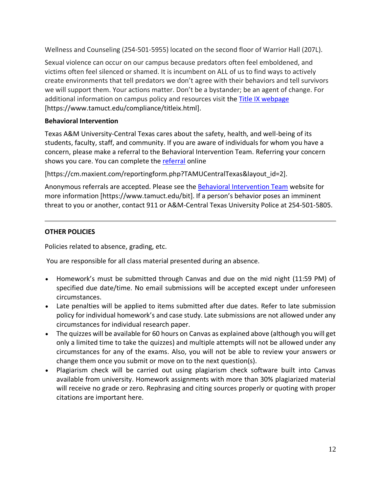Wellness and Counseling (254-501-5955) located on the second floor of Warrior Hall (207L).

Sexual violence can occur on our campus because predators often feel emboldened, and victims often feel silenced or shamed. It is incumbent on ALL of us to find ways to actively create environments that tell predators we don't agree with their behaviors and tell survivors we will support them. Your actions matter. Don't be a bystander; be an agent of change. For additional information on campus policy and resources visit the [Title IX webpage](https://www.tamuct.edu/compliance/titleix.html) [\[https://www.tamuct.edu/compliance/titleix.html\]](https://www.tamuct.edu/compliance/titleix.html).

## **Behavioral Intervention**

Texas A&M University-Central Texas cares about the safety, health, and well-being of its students, faculty, staff, and community. If you are aware of individuals for whom you have a concern, please make a referral to the Behavioral Intervention Team. Referring your concern shows you care. You can complete the [referral](https://cm.maxient.com/reportingform.php?TAMUCentralTexas&layout_id=2) online

[https://cm.maxient.com/reportingform.php?TAMUCentralTexas&layout\_id=2].

Anonymous referrals are accepted. Please see the [Behavioral Intervention Team](https://www.tamuct.edu/bit) website for more information [https://www.tamuct.edu/bit]. If a person's behavior poses an imminent threat to you or another, contact 911 or A&M-Central Texas University Police at 254-501-5805.

## **OTHER POLICIES**

Policies related to absence, grading, etc.

You are responsible for all class material presented during an absence.

- Homework's must be submitted through Canvas and due on the mid night (11:59 PM) of specified due date/time. No email submissions will be accepted except under unforeseen circumstances.
- Late penalties will be applied to items submitted after due dates. Refer to late submission policy for individual homework's and case study. Late submissions are not allowed under any circumstances for individual research paper.
- The quizzes will be available for 60 hours on Canvas as explained above (although you will get only a limited time to take the quizzes) and multiple attempts will not be allowed under any circumstances for any of the exams. Also, you will not be able to review your answers or change them once you submit or move on to the next question(s).
- Plagiarism check will be carried out using plagiarism check software built into Canvas available from university. Homework assignments with more than 30% plagiarized material will receive no grade or zero. Rephrasing and citing sources properly or quoting with proper citations are important here.